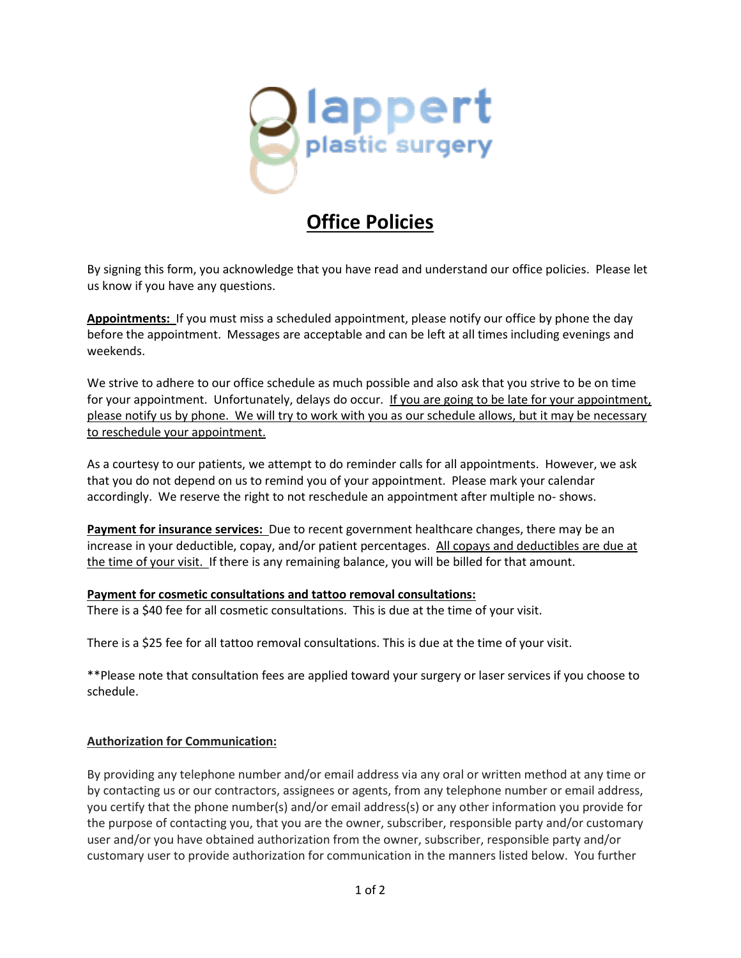

## **Office Policies**

By signing this form, you acknowledge that you have read and understand our office policies. Please let us know if you have any questions.

**Appointments:** If you must miss a scheduled appointment, please notify our office by phone the day before the appointment. Messages are acceptable and can be left at all times including evenings and weekends.

We strive to adhere to our office schedule as much possible and also ask that you strive to be on time for your appointment. Unfortunately, delays do occur. If you are going to be late for your appointment, please notify us by phone. We will try to work with you as our schedule allows, but it may be necessary to reschedule your appointment.

As a courtesy to our patients, we attempt to do reminder calls for all appointments. However, we ask that you do not depend on us to remind you of your appointment. Please mark your calendar accordingly. We reserve the right to not reschedule an appointment after multiple no- shows.

**Payment for insurance services:** Due to recent government healthcare changes, there may be an increase in your deductible, copay, and/or patient percentages. All copays and deductibles are due at the time of your visit. If there is any remaining balance, you will be billed for that amount.

## **Payment for cosmetic consultations and tattoo removal consultations:**

There is a \$40 fee for all cosmetic consultations. This is due at the time of your visit.

There is a \$25 fee for all tattoo removal consultations. This is due at the time of your visit.

\*\*Please note that consultation fees are applied toward your surgery or laser services if you choose to schedule.

## **Authorization for Communication:**

By providing any telephone number and/or email address via any oral or written method at any time or by contacting us or our contractors, assignees or agents, from any telephone number or email address, you certify that the phone number(s) and/or email address(s) or any other information you provide for the purpose of contacting you, that you are the owner, subscriber, responsible party and/or customary user and/or you have obtained authorization from the owner, subscriber, responsible party and/or customary user to provide authorization for communication in the manners listed below. You further